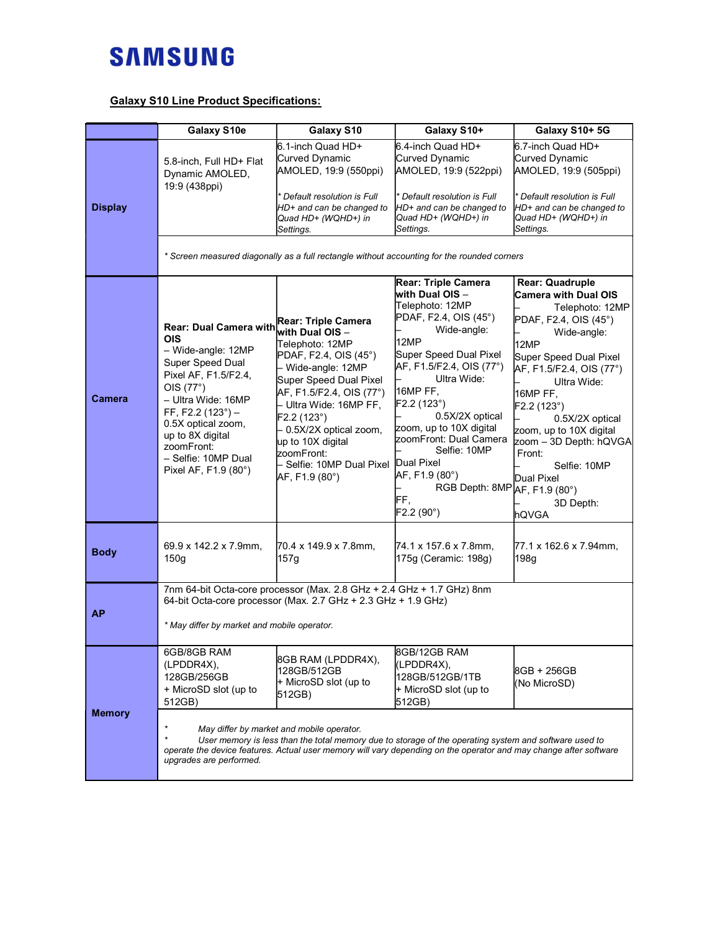## **SAMSUNG**

## Galaxy S10 Line Product Specifications:

|                | Galaxy S10e                                                                                                                                                                                                                                                                  | Galaxy S10                                                                                                                                                                                                                                                                                                                      | Galaxy S10+                                                                                                                                                                                                                                                                                                                                                                     | Galaxy S10+ 5G                                                                                                                                                                                                                                                                                                                                          |  |
|----------------|------------------------------------------------------------------------------------------------------------------------------------------------------------------------------------------------------------------------------------------------------------------------------|---------------------------------------------------------------------------------------------------------------------------------------------------------------------------------------------------------------------------------------------------------------------------------------------------------------------------------|---------------------------------------------------------------------------------------------------------------------------------------------------------------------------------------------------------------------------------------------------------------------------------------------------------------------------------------------------------------------------------|---------------------------------------------------------------------------------------------------------------------------------------------------------------------------------------------------------------------------------------------------------------------------------------------------------------------------------------------------------|--|
| <b>Display</b> | 5.8-inch, Full HD+ Flat<br>Dynamic AMOLED,<br>19:9 (438ppi)                                                                                                                                                                                                                  | 6.1-inch Quad HD+<br>Curved Dynamic<br>AMOLED, 19:9 (550ppi)<br>* Default resolution is Full<br>HD+ and can be changed to<br>Quad HD+ (WQHD+) in<br>Settings.                                                                                                                                                                   | l6.4-inch Quad HD+<br>Curved Dynamic<br>AMOLED, 19:9 (522ppi)<br>Default resolution is Full<br>HD+ and can be changed to<br>Quad HD+ (WQHD+) in<br>Settings.<br>* Screen measured diagonally as a full rectangle without accounting for the rounded corners                                                                                                                     | 6.7-inch Quad HD+<br>Curved Dynamic<br>AMOLED, 19:9 (505ppi)<br>Default resolution is Full<br>HD+ and can be changed to<br>Quad HD+ (WQHD+) in<br>Settings.                                                                                                                                                                                             |  |
| Camera         | <b>Rear: Dual Camera with</b><br>OIS<br>- Wide-angle: 12MP<br>Super Speed Dual<br>Pixel AF, F1.5/F2.4,<br>OIS (77°)<br>- Ultra Wide: 16MP<br>FF, F2.2 $(123^\circ)$ -<br>0.5X optical zoom,<br>up to 8X digital<br>zoomFront:<br>- Selfie: 10MP Dual<br>Pixel AF, F1.9 (80°) | Rear: Triple Camera<br>with Dual OIS –<br>Telephoto: 12MP<br>PDAF, F2.4, OIS (45°)<br>- Wide-angle: 12MP<br>Super Speed Dual Pixel<br>AF, F1.5/F2.4, OIS (77°)<br>- Ultra Wide: 16MP FF,<br>F2.2 (123°)<br>- 0.5X/2X optical zoom,<br>up to 10X digital<br>zoomFront:<br>– Selfie: 10MP Dual Pixel Dual Pixel<br>AF, F1.9 (80°) | <b>Rear: Triple Camera</b><br>with Dual OIS -<br>Telephoto: 12MP<br>PDAF, F2.4, OIS (45°)<br>Wide-angle:<br>12MP<br>Super Speed Dual Pixel<br>AF, F1.5/F2.4, OIS (77°)<br>Ultra Wide:<br>16MP FF,<br>F2.2(123°)<br>0.5X/2X optical<br>zoom, up to 10X digital<br>zoomFront: Dual Camera<br>Selfie: 10MP<br>AF, F1.9 (80°)<br>RGB Depth: 8MP AF, F1.9 (80°)<br>FF,<br>F2.2 (90°) | Rear: Quadruple<br><b>Camera with Dual OIS</b><br>Telephoto: 12MP<br>PDAF, F2.4, OIS (45°)<br>Wide-angle:<br>12MP<br>Super Speed Dual Pixel<br>AF, F1.5/F2.4, OIS (77°)<br>Ultra Wide:<br>16MP FF,<br>F2.2 (123°)<br>0.5X/2X optical<br>zoom, up to 10X digital<br>zoom - 3D Depth: hQVGA<br>Front:<br>Selfie: 10MP<br>Dual Pixel<br>3D Depth:<br>hQVGA |  |
| <b>Body</b>    | 69.9 x 142.2 x 7.9mm,<br>150 <sub>g</sub>                                                                                                                                                                                                                                    | 70.4 x 149.9 x 7.8mm,<br>157g                                                                                                                                                                                                                                                                                                   | 74.1 x 157.6 x 7.8mm,<br>175g (Ceramic: 198g)                                                                                                                                                                                                                                                                                                                                   | 77.1 x 162.6 x 7.94mm,<br>198g                                                                                                                                                                                                                                                                                                                          |  |
| <b>AP</b>      | 7nm 64-bit Octa-core processor (Max. 2.8 GHz + 2.4 GHz + 1.7 GHz) 8nm<br>64-bit Octa-core processor (Max. 2.7 GHz + 2.3 GHz + 1.9 GHz)<br>* May differ by market and mobile operator.                                                                                        |                                                                                                                                                                                                                                                                                                                                 |                                                                                                                                                                                                                                                                                                                                                                                 |                                                                                                                                                                                                                                                                                                                                                         |  |
| <b>Memory</b>  | 6GB/8GB RAM<br>(LPDDR4X),<br>128GB/256GB<br>+ MicroSD slot (up to<br>512GB)<br>upgrades are performed.                                                                                                                                                                       | 8GB RAM (LPDDR4X),<br>128GB/512GB<br>├+ MicroSD slot (up to<br>512GB)<br>May differ by market and mobile operator.                                                                                                                                                                                                              | 8GB/12GB RAM<br>(LPDDR4X),<br>128GB/512GB/1TB<br>+ MicroSD slot (up to<br>512GB)<br>User memory is less than the total memory due to storage of the operating system and software used to<br>operate the device features. Actual user memory will vary depending on the operator and may change after software                                                                  | 8GB + 256GB<br>(No MicroSD)                                                                                                                                                                                                                                                                                                                             |  |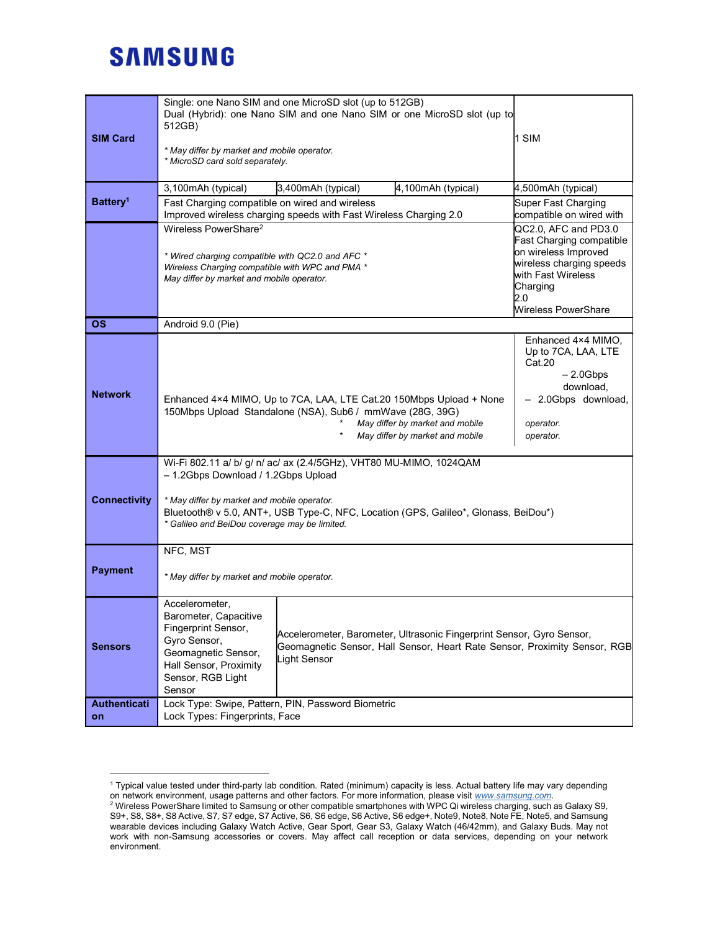## **SAMSUNG**

| <b>SIM Card</b>      | Single: one Nano SIM and one MicroSD slot (up to 512GB)<br>Dual (Hybrid): one Nano SIM and one Nano SIM or one MicroSD slot (up to<br>512GB)<br>* May differ by market and mobile operator.<br>* MicroSD card sold separately.                                                                                                       |                                                                                                                                 |                    | 1 SIM                                                                                                                                                                |  |
|----------------------|--------------------------------------------------------------------------------------------------------------------------------------------------------------------------------------------------------------------------------------------------------------------------------------------------------------------------------------|---------------------------------------------------------------------------------------------------------------------------------|--------------------|----------------------------------------------------------------------------------------------------------------------------------------------------------------------|--|
| Battery <sup>1</sup> | 3,100mAh (typical)                                                                                                                                                                                                                                                                                                                   | 3,400mAh (typical)                                                                                                              | 4,100mAh (typical) | 4,500mAh (typical)                                                                                                                                                   |  |
|                      | Fast Charging compatible on wired and wireless<br>Improved wireless charging speeds with Fast Wireless Charging 2.0                                                                                                                                                                                                                  |                                                                                                                                 |                    | Super Fast Charging<br>compatible on wired with                                                                                                                      |  |
|                      | Wireless PowerShare <sup>2</sup><br>* Wired charging compatible with QC2.0 and AFC *<br>Wireless Charging compatible with WPC and PMA *<br>May differ by market and mobile operator.                                                                                                                                                 |                                                                                                                                 |                    | QC2.0, AFC and PD3.0<br>Fast Charging compatible<br>on wireless Improved<br>wireless charging speeds<br>with Fast Wireless<br>Charging<br>2.0<br>Wireless PowerShare |  |
| <b>OS</b>            | Android 9.0 (Pie)                                                                                                                                                                                                                                                                                                                    |                                                                                                                                 |                    |                                                                                                                                                                      |  |
| <b>Network</b>       | Enhanced 4×4 MIMO, Up to 7CA, LAA, LTE Cat.20 150Mbps Upload + None<br>150Mbps Upload Standalone (NSA), Sub6 / mmWave (28G, 39G)                                                                                                                                                                                                     | Enhanced 4×4 MIMO,<br>Up to 7CA, LAA, LTE<br>Cat.20<br>$-2.0Gbps$<br>download,<br>- 2.0Gbps download,<br>operator.<br>operator. |                    |                                                                                                                                                                      |  |
| <b>Connectivity</b>  | Wi-Fi 802.11 a/ b/ g/ n/ ac/ ax (2.4/5GHz), VHT80 MU-MIMO, 1024QAM<br>- 1.2Gbps Download / 1.2Gbps Upload<br>* May differ by market and mobile operator.<br>Bluetooth® v 5.0, ANT+, USB Type-C, NFC, Location (GPS, Galileo*, Glonass, BeiDou*)<br>* Galileo and BeiDou coverage may be limited.                                     |                                                                                                                                 |                    |                                                                                                                                                                      |  |
| <b>Payment</b>       | NFC, MST<br>* May differ by market and mobile operator.                                                                                                                                                                                                                                                                              |                                                                                                                                 |                    |                                                                                                                                                                      |  |
| <b>Sensors</b>       | Accelerometer,<br>Barometer, Capacitive<br>Fingerprint Sensor,<br>Accelerometer, Barometer, Ultrasonic Fingerprint Sensor, Gyro Sensor,<br>Gyro Sensor,<br>Geomagnetic Sensor, Hall Sensor, Heart Rate Sensor, Proximity Sensor, RGB<br>Geomagnetic Sensor,<br>Light Sensor<br>Hall Sensor, Proximity<br>Sensor, RGB Light<br>Sensor |                                                                                                                                 |                    |                                                                                                                                                                      |  |
| Authenticati<br>on   | Lock Type: Swipe, Pattern, PIN, Password Biometric<br>Lock Types: Fingerprints, Face                                                                                                                                                                                                                                                 |                                                                                                                                 |                    |                                                                                                                                                                      |  |

 1 Typical value tested under third-party lab condition. Rated (minimum) capacity is less. Actual battery life may vary depending on network environment, usage patterns and other factors. For more information, please visit www.samsung.com.

 $^2$  Wireless PowerShare limited to Samsung or other compatible smartphones with WPC Qi wireless charging, such as Galaxy S9, S9+, S8, S8+, S8 Active, S7, S7 edge, S7 Active, S6, S6 edge, S6 Active, S6 edge+, Note9, Note8, Note FE, Note5, and Samsung wearable devices including Galaxy Watch Active, Gear Sport, Gear S3, Galaxy Watch (46/42mm), and Galaxy Buds. May not work with non-Samsung accessories or covers. May affect call reception or data services, depending on your network environment.